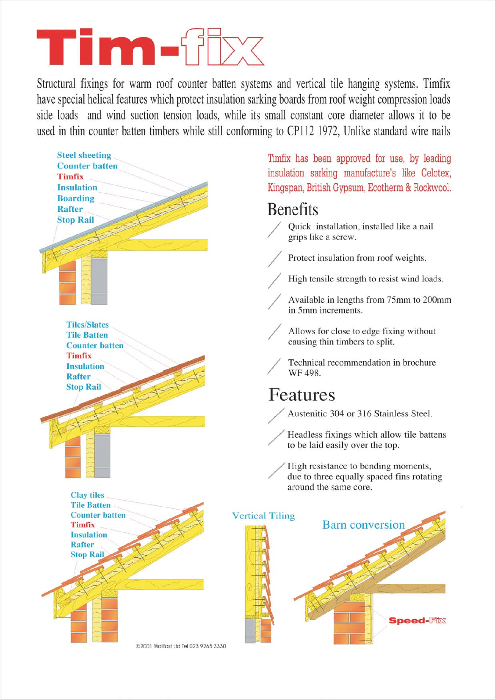# Tim-f

Structural fixings for warm roof counter batten systems and vertical tile hanging systems. Timfix have special helical features which protect insulation sarking boards from roof weight compression loads side loads and wind suction tension loads, while its small constant core diameter allows it to be used in thin counter batten timbers while still conforming to CP112 1972, Unlike standard wire nails



Timfix has been approved for use, by leading insulation sarking manufacture's like Celotex, Kingspan, British Gypsum, Ecotherm & Rockwool.

### **Benefits**

Quick installation, installed like a nail grips like a screw.

Protect insulation from roof weights.

High tensile strength to resist wind loads.

Available in lengths from 75mm to 200mm in 5mm increments.

Allows for close to edge fixing without causing thin timbers to split.

Technical recommendation in brochure WF 498.

# Features

Austenitic 304 or 316 Stainless Steel.

Headless fixings which allow tile battens to be laid easily over the top.

High resistance to bending moments, due to three equally spaced fins rotating around the same core.

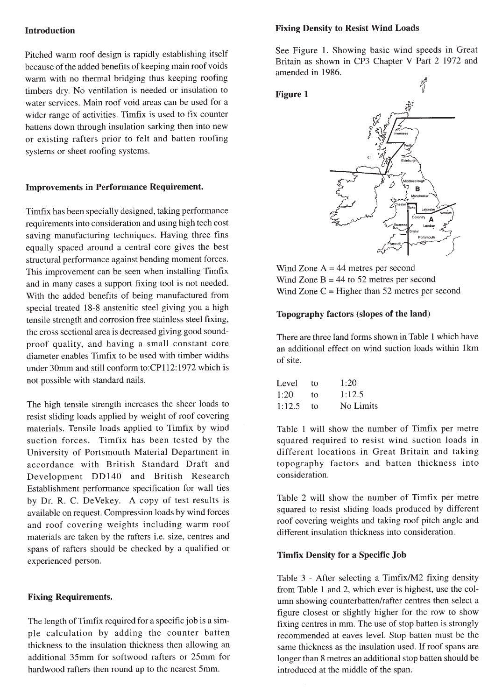#### **Introduction**

Pitched warm roof design is rapidly establishing itself because of the added benefits of keeping main roof voids warm with no thermal bridging thus keeping roofing timbers dry. No ventilation is needed or insulation to water services. Main roof void areas can be used for a wider range of activities. Timfix is used to fix counter battens down through insulation sarking then into new or existing rafters prior to felt and batten roofing systems or sheet roofing systems.

#### **Improvements in Performance Requirement.**

Timfix has been specially designed, taking performance requirements into consideration and using high tech cost saving manufacturing techniques. Having three fins equally spaced around a central core gives the best structural performance against bending moment forces. This improvement can be seen when installing Timfix and in many cases a support fixing tool is not needed. With the added benefits of being manufactured from special treated 18-8 anstenitic steel giving you a high tensile strength and corrosion free stainless steel fixing, the cross sectional area is decreased giving good soundproof quality, and having a small constant core diameter enables Timfix to be used with timber widths under 30mm and still conform to:CP112:1972 which is not possible with standard nails.

The high tensile strength increases the sheer loads to resist sliding loads applied by weight of roof covering materials. Tensile loads applied to Timfix by wind suction forces. Timfix has been tested by the University of Portsmouth Material Department in accordance with British Standard Draft and Development DD140 and British Research Establishment performance specification for wall ties by Dr. R. C. DeVekey. A copy of test results is available on request. Compression loads by wind forces and roof covering weights including warm roof materials are taken by the rafters *i.e.* size, centres and spans of rafters should be checked by a qualified or experienced person.

#### **Fixing Requirements.**

The length of Timfix required for a specific job is a simple calculation by adding the counter batten thickness to the insulation thickness then allowing an additional 35mm for softwood rafters or 25mm for hardwood rafters then round up to the nearest 5mm.

#### **Fixing Density to Resist Wind Loads**

See Figure 1. Showing basic wind speeds in Great Britain as shown in CP3 Chapter V Part 2 1972 and amended in 1986.

#### **Figure 1**



Wind Zone  $A = 44$  metres per second Wind Zone B = 44 to 52 metres per second Wind Zone  $C =$  Higher than 52 metres per second

#### Topography factors (slopes of the land)

There are three land forms shown in Table 1 which have an additional effect on wind suction loads within 1km of site.

| Level  | tο | 1:20      |
|--------|----|-----------|
| 1:20   | tο | 1:12.5    |
| 1:12.5 | tο | No Limits |

Table 1 will show the number of Timfix per metre squared required to resist wind suction loads in different locations in Great Britain and taking topography factors and batten thickness into consideration.

Table 2 will show the number of Timfix per metre squared to resist sliding loads produced by different roof covering weights and taking roof pitch angle and different insulation thickness into consideration.

#### **Timfix Density for a Specific Job**

Table 3 - After selecting a Timfix/M2 fixing density from Table 1 and 2, which ever is highest, use the column showing counterbatten/rafter centres then select a figure closest or slightly higher for the row to show fixing centres in mm. The use of stop batten is strongly recommended at eaves level. Stop batten must be the same thickness as the insulation used. If roof spans are longer than 8 metres an additional stop batten should be introduced at the middle of the span.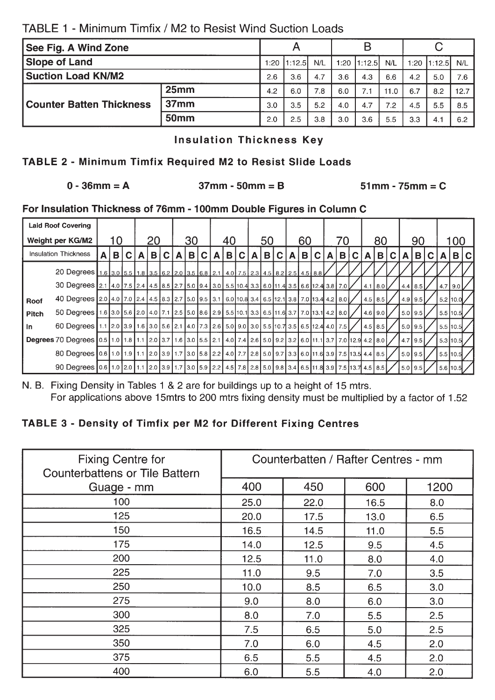#### TABLE 1 - Minimum Timfix / M2 to Resist Wind Suction Loads

| <b>See Fig. A Wind Zone</b> |                  |        |     |     |                 |     |      |                |     |      |
|-----------------------------|------------------|--------|-----|-----|-----------------|-----|------|----------------|-----|------|
| Slope of Land               | 1:20             | 1:12.5 | N/L |     | $1:20$   1:12.5 | N/L |      | $1:20$ 11:12.5 | N/L |      |
| <b>Suction Load KN/M2</b>   | 2.6              | 3.6    | 4.7 | 3.6 | 4.3             | 6.6 | 4.2  | 5.0            | 7.6 |      |
|                             | 25 <sub>mm</sub> | 4.2    | 6.0 | 7.8 | 6.0             | 7.1 | 11.0 | 6.7            | 8.2 | 12.7 |
| Counter Batten Thickness    | 37mm             | 3.0    | 3.5 | 5.2 | 4.0             | 4.7 | 7.2  | 4.5            | 5.5 | 8.5  |
|                             | <b>50mm</b>      | 2.0    | 2.5 | 3.8 | 3.0             | 3.6 | 5.5  | 3.3            | 4.1 | 6.2  |

**Insulation Thickness Key** 

#### TABLE 2 - Minimum Timfix Required M2 to Resist Slide Loads

 $0 - 36$ mm = A

 $37$ mm - 50mm = B

 $51mm - 75mm = C$ 

For Insulation Thickness of 76mm - 100mm Double Figures in Column C

|              | <b>Laid Roof Covering</b>                                                                                                                                                                         |   |    |   |   |    |     |    |    |    |              |    |   |     |   |   |    |          |     |   |         |                        |   |           |             |     |   |            |    |
|--------------|---------------------------------------------------------------------------------------------------------------------------------------------------------------------------------------------------|---|----|---|---|----|-----|----|----|----|--------------|----|---|-----|---|---|----|----------|-----|---|---------|------------------------|---|-----------|-------------|-----|---|------------|----|
|              | Weight per KG/M2                                                                                                                                                                                  |   | 10 |   |   | 20 |     |    | 30 |    |              | 40 |   | 50  |   |   | 60 |          | 70  |   |         | 80                     |   |           | 90          |     |   | 100        |    |
|              | Insulation Thickness                                                                                                                                                                              | А | В  | C | A | BI | C I | ΑI | B  | C. | $\mathsf{A}$ | B  | C | A B | C | A | B  | <b>C</b> | A B | C | ΑI      | В                      | C | A         |             | B C | A | B          | 1C |
|              | 20 Degrees 1.6 3.0 5.5 1.8 3.5 6.2 2.0 3.5 6.8 2.1 4.0 7.5 2.3 4.5 8.2 2.5 4.5 8.8 V                                                                                                              |   |    |   |   |    |     |    |    |    |              |    |   |     |   |   |    |          |     |   |         |                        |   |           |             |     |   |            |    |
|              | 30 Degrees 2.1   4.0   7.5   2.4   4.5   8.5   2.7   5.0   9.4   3.0   5.5   10.4   3.3   6.0   11.4   3.5   6.6   12.4   3.8   7.0   /                                                           |   |    |   |   |    |     |    |    |    |              |    |   |     |   |   |    |          |     |   | 4.1 8.0 |                        |   |           | 4.4 8.5     |     |   | 4.7   9.0  |    |
| Roof         | 40 Degrees 2.0 4.0 7.0 2.4 4.5 8.3 2.7 5.0 9.5 3.1 6.0 10.8 3.4 6.5 12.1 3.8 7.0 13.4 4.2 8.0 /                                                                                                   |   |    |   |   |    |     |    |    |    |              |    |   |     |   |   |    |          |     |   |         | $4.5$ 8.5 $\angle$     |   |           | 4.9 9.5     |     |   | 5.2 10.0   |    |
| <b>Pitch</b> | 50 Degrees 1.6 3.0 5.6 2.0 4.0 7.1 2.5 5.0 8.6 2.9 5.5 10.1 3.3 6.5 11.6 3.7 7.0 13.1 4.2 8.0 /                                                                                                   |   |    |   |   |    |     |    |    |    |              |    |   |     |   |   |    |          |     |   |         | $4.6$   9.0   $\prime$ |   |           | $5.0$   9.5 |     |   | 5.5 10.5   |    |
| <b>In</b>    | 60 Degrees 1.1 2.0 3.9 1.6 3.0 5.6 2.1 4.0 7.3 2.6 5.0 9.0 3.0 5.5 10.7 3.5 6.5 12.4 4.0 7.5                                                                                                      |   |    |   |   |    |     |    |    |    |              |    |   |     |   |   |    |          |     |   |         | $4.5$ 8.5 $\prime$     |   |           | $5.0$   9.5 |     |   | $5.5$ 10.5 |    |
|              | <b>Degrees</b> 70 Degrees $\begin{bmatrix} 0.5 \end{bmatrix}$ 1.0   1.8   1.1   2.0   3.7   1.6   3.0   5.5   2.1   4.0   7.4   2.6   5.0   9.2   3.2   6.0   11.1   3.7   7.0   12.9   4.2   8.0 |   |    |   |   |    |     |    |    |    |              |    |   |     |   |   |    |          |     |   |         |                        |   |           | 4.7 9.5     |     |   | 5.3 10.5   |    |
|              | 80 Degrees 0.6   1.0   1.9   1.1   2.0   3.9   1.7   3.0   5.8   2.2   4.0   7.7   2.8   5.0   9.7   3.3   6.0   11.6   3.9   7.5   13.5   4.4   8.5   7                                          |   |    |   |   |    |     |    |    |    |              |    |   |     |   |   |    |          |     |   |         |                        |   |           | 5.019.51    |     |   | 5.5 10.5   |    |
|              | 90 Degrees 0.6 1.0 2.0 1.1 2.0 3.9 1.7 3.0 5.9 2.2 4.5 7.8 2.8 5.0 9.8 3.4 6.5 11.8 3.9 7.5 13.7 4.5 8.5                                                                                          |   |    |   |   |    |     |    |    |    |              |    |   |     |   |   |    |          |     |   |         |                        |   | 5.0 9.5 . |             |     |   | 5.6 10.5   |    |

N. B. Fixing Density in Tables 1 & 2 are for buildings up to a height of 15 mtrs. For applications above 15mtrs to 200 mtrs fixing density must be multiplied by a factor of 1.52

#### TABLE 3 - Density of Timfix per M2 for Different Fixing Centres

| <b>Fixing Centre for</b><br><b>Counterbattens or Tile Battern</b> | Counterbatten / Rafter Centres - mm |      |      |      |  |  |  |  |  |
|-------------------------------------------------------------------|-------------------------------------|------|------|------|--|--|--|--|--|
| Guage - mm                                                        | 400                                 | 450  | 600  | 1200 |  |  |  |  |  |
| 100                                                               | 25.0                                | 22.0 | 16.5 | 8.0  |  |  |  |  |  |
| 125                                                               | 20.0                                | 17.5 | 13.0 | 6.5  |  |  |  |  |  |
| 150                                                               | 16.5                                | 14.5 | 11.0 | 5.5  |  |  |  |  |  |
| 175                                                               | 14.0                                | 12.5 | 9.5  | 4.5  |  |  |  |  |  |
| 200                                                               | 12.5                                | 11.0 | 8.0  | 4.0  |  |  |  |  |  |
| 225                                                               | 11.0                                | 9.5  | 7.0  | 3.5  |  |  |  |  |  |
| 250                                                               | 10.0                                | 8.5  | 6.5  | 3.0  |  |  |  |  |  |
| 275                                                               | 9.0                                 | 8.0  | 6.0  | 3.0  |  |  |  |  |  |
| 300                                                               | 8.0                                 | 7.0  | 5.5  | 2.5  |  |  |  |  |  |
| 325                                                               | 7.5                                 | 6.5  | 5.0  | 2.5  |  |  |  |  |  |
| 350                                                               | 7.0                                 | 6.0  | 4.5  | 2.0  |  |  |  |  |  |
| 375                                                               | 6.5                                 | 5.5  | 4.5  | 2.0  |  |  |  |  |  |
| 400                                                               | 6.0                                 | 5.5  | 4.0  | 2.0  |  |  |  |  |  |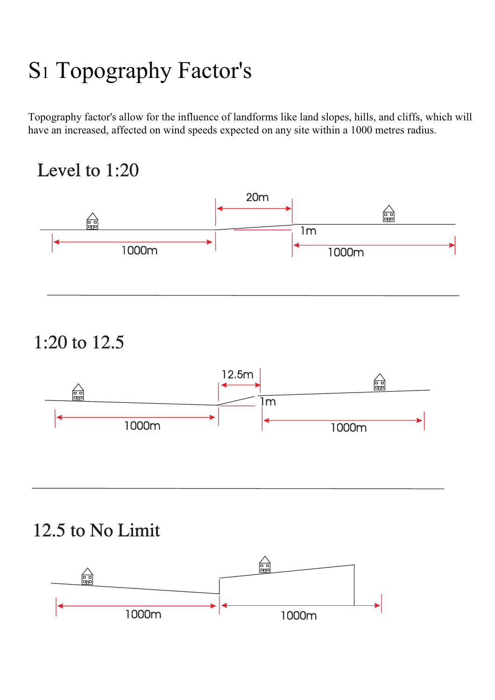# S1 Topography Factor's

Topography factor's allow for the influence of landforms like land slopes, hills, and cliffs, which will have an increased, affected on wind speeds expected on any site within a 1000 metres radius.

# Level to  $1:20$



# 1:20 to  $12.5$



# $12.5$  to No Limit

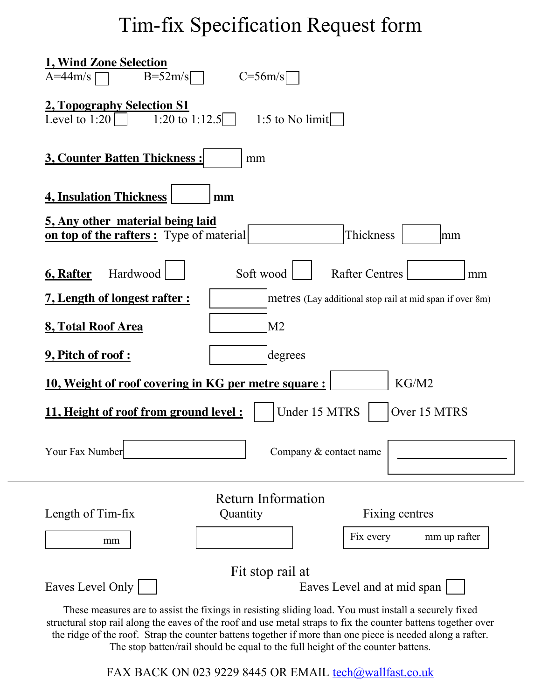# Tim-fix Specification Request form

| 1, Wind Zone Selection                                                                                |              |
|-------------------------------------------------------------------------------------------------------|--------------|
| $B=52m/s$<br>$C = 56m/s$<br>$A=44m/s$                                                                 |              |
| 2, Topography Selection S1<br>1:20 to 1:12.5<br>Level to $1:20$<br>1:5 to No $\lim_{t \to \infty}$    |              |
| <b>3, Counter Batten Thickness:</b><br>mm                                                             |              |
| <b>4, Insulation Thickness</b><br>mm                                                                  |              |
| 5, Any other material being laid<br>Thickness<br>on top of the rafters: Type of material              | mm           |
| Soft wood<br>Hardwood<br><b>Rafter Centres</b><br>6, Rafter                                           | mm           |
| <u>7, Length of longest rafter:</u><br>metres (Lay additional stop rail at mid span if over 8m)       |              |
| M2<br>8, Total Roof Area                                                                              |              |
| 9, Pitch of roof:<br>degrees                                                                          |              |
| KG/M2<br>10, Weight of roof covering in KG per metre square :                                         |              |
| Under 15 MTRS<br>Over 15 MTRS<br>11, Height of roof from ground level:                                |              |
| Your Fax Number<br>Company & contact name                                                             |              |
| <b>Return Information</b>                                                                             |              |
| Length of Tim-fix<br>Quantity<br>Fixing centres                                                       |              |
| Fix every<br>mm                                                                                       | mm up rafter |
| Fit stop rail at                                                                                      |              |
| Eaves Level Only<br>Eaves Level and at mid span                                                       |              |
| These measures are to assist the fixings in resisting sliding load. You must install a securely fixed |              |

structural stop rail along the eaves of the roof and use metal straps to fix the counter battens together over the ridge of the roof. Strap the counter battens together if more than one piece is needed along a rafter. The stop batten/rail should be equal to the full height of the counter battens.

FAX BACK ON 023 9229 8445 OR EMAIL [tech@wallfast.co.uk](mailto:tech@wallfast.co.uk)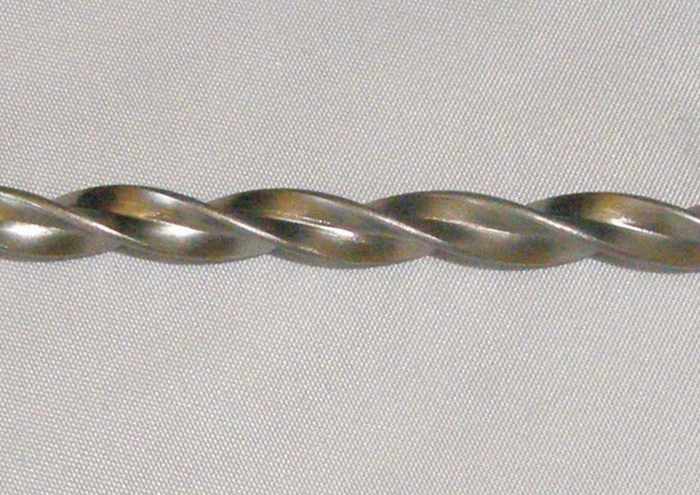